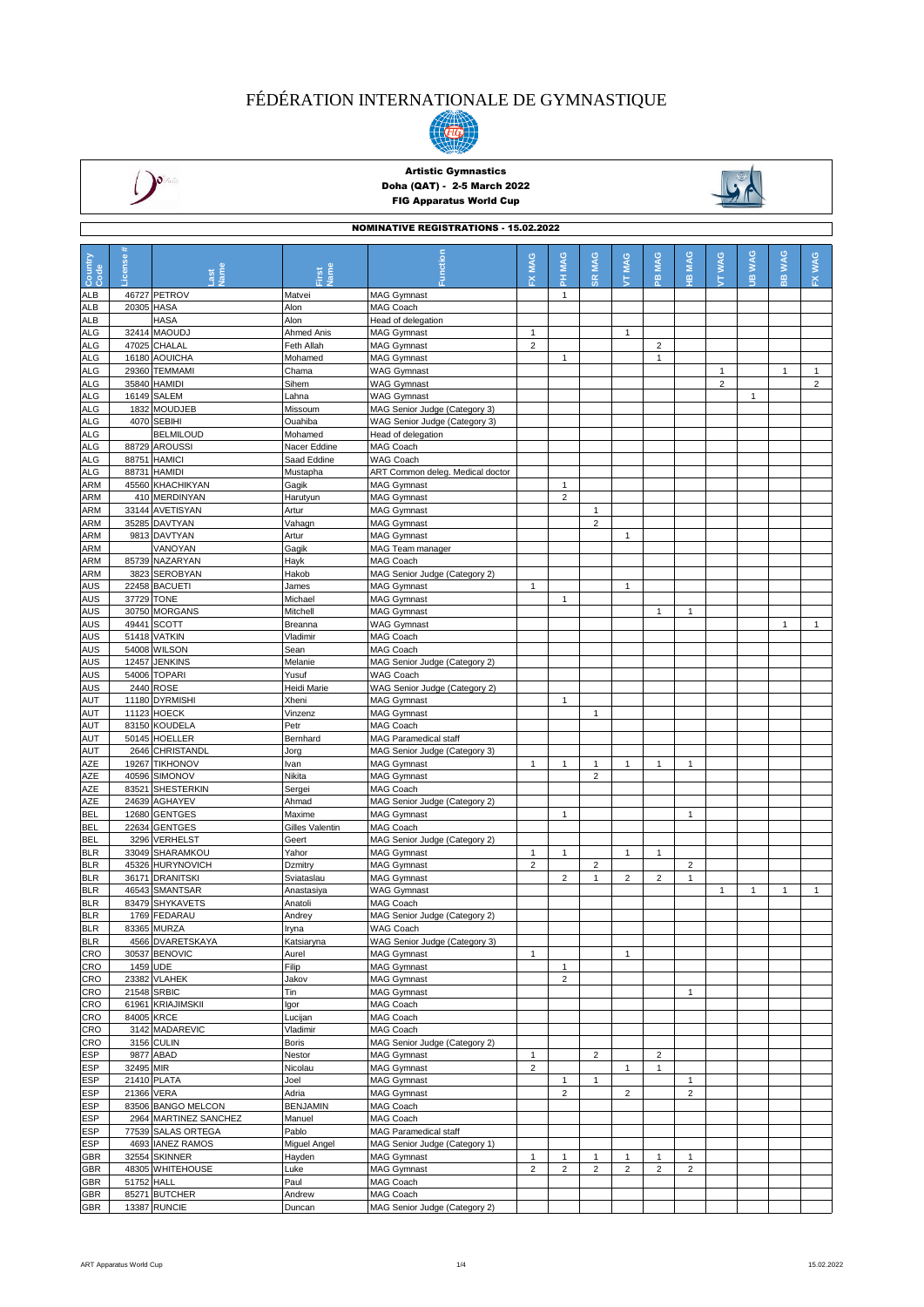



## Artistic Gymnastics Doha (QAT) - 2-5 March 2022 FIG Apparatus World Cup

NOMINATIVE REGISTRATIONS - 15.02.2022



|                          | UWINA I IVE REGIS I RATIONS - 15.02.2022 |                                   |                   |                                                     |                                |                                |                |                |                         |                |                |              |                |                |
|--------------------------|------------------------------------------|-----------------------------------|-------------------|-----------------------------------------------------|--------------------------------|--------------------------------|----------------|----------------|-------------------------|----------------|----------------|--------------|----------------|----------------|
|                          |                                          |                                   |                   |                                                     |                                |                                |                |                |                         |                |                |              |                |                |
| Country<br>Code          | icense                                   |                                   |                   | ction                                               | <b>MAG</b>                     | <b>MAG</b>                     | <b>MAG</b>     | MAG            | <b>MAG</b>              | <b>MAG</b>     | <b>WAG</b>     | <b>WAG</b>   | <b>WWW</b>     | <b>WAG</b>     |
|                          |                                          |                                   | <b>Jame</b>       |                                                     | 준                              | 폾                              | œ              | É.             | 은                       | 꽆              | É              | $\mathbf{g}$ | $\frac{1}{10}$ | 폾              |
| ALB                      |                                          | 46727 PETROV                      | Matvei            | <b>MAG Gymnast</b>                                  |                                | $\mathbf{1}$                   |                |                |                         |                |                |              |                |                |
| <b>ALB</b>               | 20305 HASA                               |                                   | Alon              | MAG Coach                                           |                                |                                |                |                |                         |                |                |              |                |                |
| <b>ALB</b>               |                                          | <b>HASA</b>                       | Alon              | Head of delegation                                  |                                |                                |                |                |                         |                |                |              |                |                |
| <b>ALG</b>               |                                          | 32414 MAOUDJ                      | Ahmed Anis        | <b>MAG Gymnast</b>                                  | $\mathbf{1}$                   |                                |                | $\mathbf{1}$   |                         |                |                |              |                |                |
| <b>ALG</b>               |                                          | 47025 CHALAL                      | Feth Allah        | <b>MAG Gymnast</b>                                  | $\overline{2}$                 |                                |                |                | $\overline{\mathbf{c}}$ |                |                |              |                |                |
| <b>ALG</b>               |                                          | 16180 AOUICHA                     | Mohamed           | <b>MAG Gymnast</b>                                  |                                | $\mathbf{1}$                   |                |                | 1                       |                |                |              |                |                |
| <b>ALG</b>               |                                          | 29360 TEMMAMI                     | Chama             | <b>WAG Gymnast</b>                                  |                                |                                |                |                |                         |                | $\mathbf{1}$   |              | $\mathbf{1}$   | $\mathbf{1}$   |
| <b>ALG</b>               |                                          | 35840 HAMIDI                      | Sihem             | <b>WAG Gymnast</b>                                  |                                |                                |                |                |                         |                | $\overline{2}$ |              |                | $\overline{2}$ |
| <b>ALG</b>               |                                          | 16149 SALEM                       | Lahna             | <b>WAG Gymnast</b>                                  |                                |                                |                |                |                         |                |                | $\mathbf{1}$ |                |                |
| <b>ALG</b>               |                                          | 1832 MOUDJEB                      | Missoum           | MAG Senior Judge (Category 3)                       |                                |                                |                |                |                         |                |                |              |                |                |
| <b>ALG</b>               |                                          | 4070 SEBIHI                       | Ouahiba           | WAG Senior Judge (Category 3)                       |                                |                                |                |                |                         |                |                |              |                |                |
| <b>ALG</b>               |                                          | <b>BELMILOUD</b>                  | Mohamed           | Head of delegation                                  |                                |                                |                |                |                         |                |                |              |                |                |
| <b>ALG</b>               |                                          | 88729 AROUSSI                     | Nacer Eddine      | MAG Coach                                           |                                |                                |                |                |                         |                |                |              |                |                |
| <b>ALG</b>               |                                          | 88751 HAMICI                      | Saad Eddine       | <b>WAG Coach</b>                                    |                                |                                |                |                |                         |                |                |              |                |                |
| <b>ALG</b>               |                                          | 88731 HAMIDI                      | Mustapha          | ART Common deleg. Medical doctor                    |                                |                                |                |                |                         |                |                |              |                |                |
| <b>ARM</b><br><b>ARM</b> |                                          | 45560 KHACHIKYAN<br>410 MERDINYAN | Gagik<br>Harutyun | <b>MAG Gymnast</b><br><b>MAG Gymnast</b>            |                                | $\mathbf{1}$<br>$\overline{2}$ |                |                |                         |                |                |              |                |                |
| <b>ARM</b>               |                                          | 33144 AVETISYAN                   | Artur             | <b>MAG Gymnast</b>                                  |                                |                                | $\mathbf{1}$   |                |                         |                |                |              |                |                |
| <b>ARM</b>               |                                          | 35285 DAVTYAN                     | Vahagn            | <b>MAG Gymnast</b>                                  |                                |                                | $\overline{2}$ |                |                         |                |                |              |                |                |
| ARM                      |                                          | 9813 DAVTYAN                      | Artur             | <b>MAG Gymnast</b>                                  |                                |                                |                | $\mathbf{1}$   |                         |                |                |              |                |                |
| ARM                      |                                          | VANOYAN                           | Gagik             | MAG Team manager                                    |                                |                                |                |                |                         |                |                |              |                |                |
| <b>ARM</b>               |                                          | 85739 NAZARYAN                    | Hayk              | MAG Coach                                           |                                |                                |                |                |                         |                |                |              |                |                |
| <b>ARM</b>               |                                          | 3823 SEROBYAN                     | Hakob             | MAG Senior Judge (Category 2)                       |                                |                                |                |                |                         |                |                |              |                |                |
| AUS                      |                                          | 22458 BACUETI                     | James             | <b>MAG Gymnast</b>                                  | $\mathbf{1}$                   |                                |                | $\mathbf{1}$   |                         |                |                |              |                |                |
| <b>AUS</b>               | 37729 TONE                               |                                   | Michael           | <b>MAG Gymnast</b>                                  |                                | $\mathbf{1}$                   |                |                |                         |                |                |              |                |                |
| <b>AUS</b>               |                                          | 30750 MORGANS                     | Mitchell          | <b>MAG Gymnast</b>                                  |                                |                                |                |                | 1                       | 1              |                |              |                |                |
| <b>AUS</b>               |                                          | 49441 SCOTT                       | Breanna           | <b>WAG Gymnast</b>                                  |                                |                                |                |                |                         |                |                |              | $\mathbf{1}$   | $\mathbf{1}$   |
| AUS                      |                                          | 51418 VATKIN                      | Vladimir          | MAG Coach                                           |                                |                                |                |                |                         |                |                |              |                |                |
| <b>AUS</b>               |                                          | 54008 WILSON                      | Sean              | MAG Coach                                           |                                |                                |                |                |                         |                |                |              |                |                |
| AUS                      |                                          | 12457 JENKINS                     | Melanie           | MAG Senior Judge (Category 2)                       |                                |                                |                |                |                         |                |                |              |                |                |
| AUS                      |                                          | 54006 TOPARI                      | Yusuf             | <b>WAG Coach</b>                                    |                                |                                |                |                |                         |                |                |              |                |                |
| <b>AUS</b>               |                                          | 2440 ROSE                         | Heidi Marie       | WAG Senior Judge (Category 2)                       |                                |                                |                |                |                         |                |                |              |                |                |
| AUT                      |                                          | 11180 DYRMISHI                    | Xheni             | <b>MAG Gymnast</b>                                  |                                | $\mathbf{1}$                   |                |                |                         |                |                |              |                |                |
| AUT                      |                                          | 11123 HOECK                       | Vinzenz           | <b>MAG Gymnast</b>                                  |                                |                                | $\mathbf{1}$   |                |                         |                |                |              |                |                |
| AUT                      |                                          | 83150 KOUDELA                     | Petr              | MAG Coach                                           |                                |                                |                |                |                         |                |                |              |                |                |
| AUT                      |                                          | 50145 HOELLER                     | Bernhard          | MAG Paramedical staff                               |                                |                                |                |                |                         |                |                |              |                |                |
| <b>AUT</b>               |                                          | 2646 CHRISTANDL                   | Jorg              | MAG Senior Judge (Category 3)                       |                                |                                |                |                |                         |                |                |              |                |                |
| AZE                      |                                          | 19267 TIKHONOV                    | Ivan              | <b>MAG Gymnast</b>                                  | $\mathbf{1}$                   | 1                              | 1              | $\mathbf{1}$   | 1                       | $\mathbf{1}$   |                |              |                |                |
| AZE                      |                                          | 40596 SIMONOV                     | Nikita            | <b>MAG Gymnast</b>                                  |                                |                                | $\overline{2}$ |                |                         |                |                |              |                |                |
| AZE                      |                                          | 83521 SHESTERKIN                  | Sergei<br>Ahmad   | <b>MAG Coach</b>                                    |                                |                                |                |                |                         |                |                |              |                |                |
| AZE<br><b>BEL</b>        |                                          | 24639 AGHAYEV<br>12680 GENTGES    | Maxime            | MAG Senior Judge (Category 2)<br><b>MAG Gymnast</b> |                                | $\mathbf{1}$                   |                |                |                         | $\mathbf{1}$   |                |              |                |                |
| <b>BEL</b>               |                                          | 22634 GENTGES                     | Gilles Valentin   | MAG Coach                                           |                                |                                |                |                |                         |                |                |              |                |                |
| <b>BEL</b>               |                                          | 3296 VERHELST                     | Geert             | MAG Senior Judge (Category 2)                       |                                |                                |                |                |                         |                |                |              |                |                |
| <b>BLR</b>               |                                          | 33049 SHARAMKOU                   | Yahor             | <b>MAG Gymnast</b>                                  | $\mathbf{1}$                   | $\mathbf{1}$                   |                | $\mathbf{1}$   | 1                       |                |                |              |                |                |
| <b>BLR</b>               |                                          | 45326 HURYNOVICH                  | Dzmitry           | <b>MAG Gymnast</b>                                  | $\overline{2}$                 |                                | $\overline{2}$ |                |                         | $\overline{2}$ |                |              |                |                |
| <b>BLR</b>               |                                          | 36171 DRANITSKI                   | Sviataslau        | <b>MAG Gymnast</b>                                  |                                | $\overline{2}$                 | $\mathbf{1}$   | $\overline{2}$ | $\overline{2}$          | 1              |                |              |                |                |
| <b>BLR</b>               |                                          | 46543 SMANTSAR                    | Anastasiya        | <b>WAG Gymnast</b>                                  |                                |                                |                |                |                         |                | 1              | 1            | $\mathbf{1}$   | $\mathbf{1}$   |
| <b>BLR</b>               |                                          | 83479 SHYKAVETS                   | Anatoli           | MAG Coach                                           |                                |                                |                |                |                         |                |                |              |                |                |
| <b>BLR</b>               |                                          | 1769 FEDARAU                      | Andrey            | MAG Senior Judge (Category 2)                       |                                |                                |                |                |                         |                |                |              |                |                |
| <b>BLR</b>               |                                          | 83365 MURZA                       | Iryna             | WAG Coach                                           |                                |                                |                |                |                         |                |                |              |                |                |
| <b>BLR</b>               |                                          | 4566 DVARETSKAYA                  | Katsiaryna        | WAG Senior Judge (Category 3)                       |                                |                                |                |                |                         |                |                |              |                |                |
| <b>CRO</b>               |                                          | 30537 BENOVIC                     | Aurel             | <b>MAG Gymnast</b>                                  | $\mathbf{1}$                   |                                |                | $\mathbf{1}$   |                         |                |                |              |                |                |
| CRO                      | 1459 UDE                                 |                                   | Filip             | <b>MAG Gymnast</b>                                  |                                | $\mathbf{1}$                   |                |                |                         |                |                |              |                |                |
| CRO                      |                                          | 23382 VLAHEK                      | Jakov             | <b>MAG Gymnast</b>                                  |                                | $\overline{2}$                 |                |                |                         |                |                |              |                |                |
| CRO                      |                                          | 21548 SRBIC                       | Tin               | <b>MAG Gymnast</b>                                  |                                |                                |                |                |                         | $\mathbf{1}$   |                |              |                |                |
| CRO                      |                                          | 61961 KRIAJIMSKII                 | Igor              | MAG Coach                                           |                                |                                |                |                |                         |                |                |              |                |                |
| CRO                      |                                          | 84005 KRCE                        | Lucijan           | MAG Coach                                           |                                |                                |                |                |                         |                |                |              |                |                |
| CRO                      |                                          | 3142 MADAREVIC                    | Vladimir          | MAG Coach                                           |                                |                                |                |                |                         |                |                |              |                |                |
| CRO                      |                                          | 3156 CULIN<br>9877 ABAD           | <b>Boris</b>      | MAG Senior Judge (Category 2)                       |                                |                                | $\overline{2}$ |                |                         |                |                |              |                |                |
| ESP<br>ESP               | 32495 MIR                                |                                   | Nestor<br>Nicolau | <b>MAG Gymnast</b><br><b>MAG Gymnast</b>            | $\mathbf{1}$<br>$\overline{2}$ |                                |                | 1              | $\overline{c}$<br>1     |                |                |              |                |                |
| <b>ESP</b>               |                                          | 21410 PLATA                       | Joel              | <b>MAG Gymnast</b>                                  |                                | $\mathbf{1}$                   | $\mathbf{1}$   |                |                         | 1              |                |              |                |                |
| <b>ESP</b>               | 21366 VERA                               |                                   | Adria             | <b>MAG Gymnast</b>                                  |                                | $\overline{2}$                 |                | $\overline{2}$ |                         | $\overline{c}$ |                |              |                |                |
| <b>ESP</b>               |                                          | 83506 BANGO MELCON                | <b>BENJAMIN</b>   | MAG Coach                                           |                                |                                |                |                |                         |                |                |              |                |                |
| <b>ESP</b>               |                                          | 2964 MARTINEZ SANCHEZ             | Manuel            | MAG Coach                                           |                                |                                |                |                |                         |                |                |              |                |                |
| <b>ESP</b>               |                                          | 77539 SALAS ORTEGA                | Pablo             | <b>MAG Paramedical staff</b>                        |                                |                                |                |                |                         |                |                |              |                |                |
| <b>ESP</b>               |                                          | 4693 IANEZ RAMOS                  | Miguel Angel      | MAG Senior Judge (Category 1)                       |                                |                                |                |                |                         |                |                |              |                |                |
| GBR                      |                                          | 32554 SKINNER                     | Hayden            | <b>MAG Gymnast</b>                                  | 1                              | 1                              | $\mathbf{1}$   | $\mathbf{1}$   | 1                       | 1              |                |              |                |                |
| GBR                      |                                          | 48305 WHITEHOUSE                  | Luke              | <b>MAG Gymnast</b>                                  | $\overline{2}$                 | $\overline{2}$                 | $\overline{c}$ | $\overline{c}$ | 2                       | $\overline{c}$ |                |              |                |                |
| GBR                      | 51752 HALL                               |                                   | Paul              | MAG Coach                                           |                                |                                |                |                |                         |                |                |              |                |                |
| GBR                      |                                          | 85271 BUTCHER                     | Andrew            | MAG Coach                                           |                                |                                |                |                |                         |                |                |              |                |                |
| <b>GBR</b>               |                                          | 13387 RUNCIE                      | Duncan            | MAG Senior Judge (Category 2)                       |                                |                                |                |                |                         |                |                |              |                |                |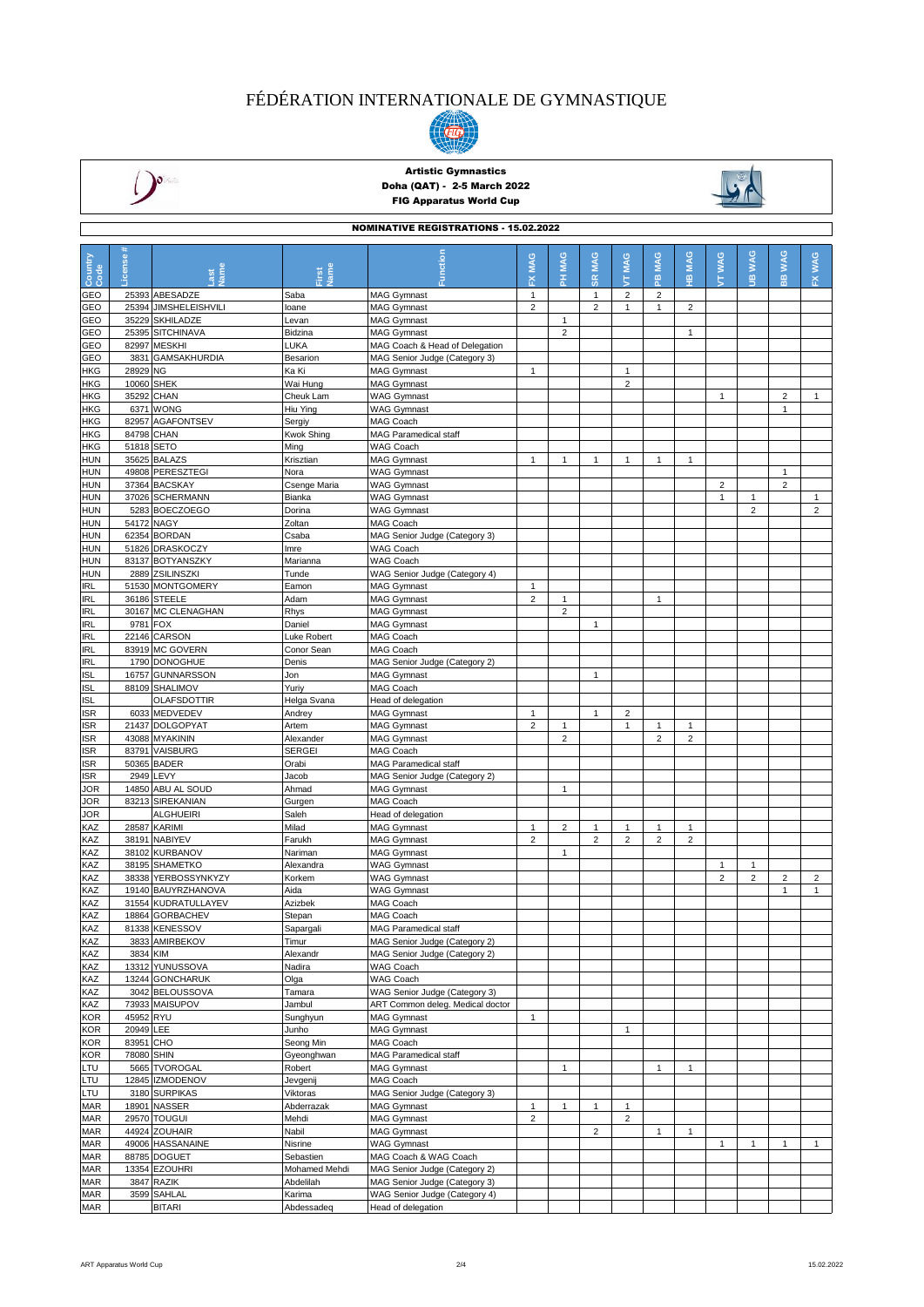



## Artistic Gymnastics Doha (QAT) - 2-5 March 2022 FIG Apparatus World Cup



| <b>NOMINATIVE REGISTRATIONS - 15.02.2022</b> |                         |                                     |                            |                                                                |                |                |                      |                 |                 |                 |                 |                                    |                              |                |
|----------------------------------------------|-------------------------|-------------------------------------|----------------------------|----------------------------------------------------------------|----------------|----------------|----------------------|-----------------|-----------------|-----------------|-----------------|------------------------------------|------------------------------|----------------|
| Country<br>Code                              | License #               | <b>Separate</b>                     | Jame<br>First              | <b>Function</b>                                                | MAG<br>ᆇ       | PH MAG         | <b>SR MAG</b>        | <b>MAG</b><br>ţ | <b>MAG</b><br>æ | <b>MAG</b><br>Ψ | <b>WAG</b><br>É | <b>WAG</b><br>$\underline{\omega}$ | <b>WAG</b><br>$\frac{1}{10}$ | FX WAG         |
| GEO                                          |                         | 25393 ABESADZE                      | Saba                       | <b>MAG Gymnast</b>                                             | $\mathbf{1}$   |                | $\mathbf{1}$         | $\overline{2}$  | 2               |                 |                 |                                    |                              |                |
| GEO                                          | 25394                   | <b>JIMSHELEISHVILI</b>              | loane                      | <b>MAG Gymnast</b>                                             | $\overline{2}$ |                | $\overline{2}$       | $\mathbf{1}$    | $\mathbf{1}$    | $\overline{2}$  |                 |                                    |                              |                |
| GEO                                          | 35229                   | <b>SKHILADZE</b>                    | Levan                      | <b>MAG Gymnast</b>                                             |                | $\mathbf{1}$   |                      |                 |                 |                 |                 |                                    |                              |                |
| GEO                                          |                         | 25395 SITCHINAVA                    | Bidzina                    | <b>MAG Gymnast</b>                                             |                | $\overline{2}$ |                      |                 |                 | 1               |                 |                                    |                              |                |
| GEO                                          | 82997                   | <b>MESKHI</b>                       | LUKA                       | MAG Coach & Head of Delegation                                 |                |                |                      |                 |                 |                 |                 |                                    |                              |                |
| GEO<br>HKG                                   | 3831<br>28929 NG        | <b>GAMSAKHURDIA</b>                 | Besarion<br>Ka Ki          | MAG Senior Judge (Category 3)<br><b>MAG Gymnast</b>            | $\mathbf{1}$   |                |                      | $\mathbf{1}$    |                 |                 |                 |                                    |                              |                |
| HKG                                          |                         | 10060 SHEK                          | Wai Hung                   | <b>MAG Gymnast</b>                                             |                |                |                      | $\overline{2}$  |                 |                 |                 |                                    |                              |                |
| HKG                                          |                         | 35292 CHAN                          | Cheuk Lam                  | <b>WAG Gymnast</b>                                             |                |                |                      |                 |                 |                 | $\mathbf{1}$    |                                    | $\overline{c}$               | $\mathbf{1}$   |
| HKG                                          |                         | 6371 WONG                           | Hiu Ying                   | <b>WAG Gymnast</b>                                             |                |                |                      |                 |                 |                 |                 |                                    | $\mathbf{1}$                 |                |
| HKG                                          |                         | 82957 AGAFONTSEV                    | Sergiy                     | MAG Coach                                                      |                |                |                      |                 |                 |                 |                 |                                    |                              |                |
| HKG                                          |                         | 84798 CHAN                          | <b>Kwok Shing</b>          | <b>MAG Paramedical staff</b>                                   |                |                |                      |                 |                 |                 |                 |                                    |                              |                |
| HKG<br>HUN                                   |                         | 51818 SETO<br>35625 BALAZS          | Ming<br>Krisztian          | WAG Coach<br><b>MAG Gymnast</b>                                | $\mathbf{1}$   | $\mathbf{1}$   | $\mathbf{1}$         | $\mathbf{1}$    | $\mathbf{1}$    | 1               |                 |                                    |                              |                |
| HUN                                          |                         | 49808 PERESZTEGI                    | Nora                       | <b>WAG Gymnast</b>                                             |                |                |                      |                 |                 |                 |                 |                                    | $\mathbf{1}$                 |                |
| HUN                                          |                         | 37364 BACSKAY                       | Csenge Maria               | <b>WAG Gymnast</b>                                             |                |                |                      |                 |                 |                 | $\overline{2}$  |                                    | $\overline{2}$               |                |
| HUN                                          |                         | 37026 SCHERMANN                     | Bianka                     | <b>WAG Gymnast</b>                                             |                |                |                      |                 |                 |                 | $\mathbf{1}$    | $\mathbf{1}$                       |                              | $\mathbf{1}$   |
| HUN                                          |                         | 5283 BOECZOEGO                      | Dorina                     | <b>WAG Gymnast</b>                                             |                |                |                      |                 |                 |                 |                 | $\overline{2}$                     |                              | $\overline{2}$ |
| HUN                                          |                         | 54172 NAGY                          | Zoltan                     | <b>MAG Coach</b>                                               |                |                |                      |                 |                 |                 |                 |                                    |                              |                |
| HUN                                          |                         | 62354 BORDAN                        | Csaba                      | MAG Senior Judge (Category 3)                                  |                |                |                      |                 |                 |                 |                 |                                    |                              |                |
| HUN<br>HUN                                   |                         | 51826 DRASKOCZY<br>83137 BOTYANSZKY | Imre<br>Marianna           | <b>WAG Coach</b><br>WAG Coach                                  |                |                |                      |                 |                 |                 |                 |                                    |                              |                |
| <b>HUN</b>                                   |                         | 2889 ZSILINSZKI                     | Tunde                      | WAG Senior Judge (Category 4)                                  |                |                |                      |                 |                 |                 |                 |                                    |                              |                |
| <b>IRL</b>                                   |                         | 51530 MONTGOMERY                    | Eamon                      | <b>MAG Gymnast</b>                                             | $\mathbf{1}$   |                |                      |                 |                 |                 |                 |                                    |                              |                |
| <b>IRL</b>                                   |                         | 36186 STEELE                        | Adam                       | <b>MAG Gymnast</b>                                             | $\overline{2}$ | $\mathbf{1}$   |                      |                 | 1               |                 |                 |                                    |                              |                |
| <b>IRL</b>                                   |                         | 30167 MC CLENAGHAN                  | Rhys                       | <b>MAG Gymnast</b>                                             |                | $\overline{2}$ |                      |                 |                 |                 |                 |                                    |                              |                |
| <b>IRL</b>                                   | 9781                    | <b>FOX</b>                          | Daniel                     | <b>MAG Gymnast</b>                                             |                |                | $\mathbf{1}$         |                 |                 |                 |                 |                                    |                              |                |
| <b>IRL</b>                                   |                         | 22146 CARSON                        | Luke Robert                | MAG Coach                                                      |                |                |                      |                 |                 |                 |                 |                                    |                              |                |
| <b>IRL</b><br><b>IRL</b>                     |                         | 83919 MC GOVERN<br>1790 DONOGHUE    | Conor Sean<br>Denis        | MAG Coach<br>MAG Senior Judge (Category 2)                     |                |                |                      |                 |                 |                 |                 |                                    |                              |                |
| <b>ISL</b>                                   |                         | 16757 GUNNARSSON                    | Jon                        | <b>MAG Gymnast</b>                                             |                |                | $\mathbf{1}$         |                 |                 |                 |                 |                                    |                              |                |
| <b>ISL</b>                                   |                         | 88109 SHALIMOV                      | Yuriy                      | MAG Coach                                                      |                |                |                      |                 |                 |                 |                 |                                    |                              |                |
| <b>ISL</b>                                   |                         | <b>OLAFSDOTTIR</b>                  | Helga Svana                | Head of delegation                                             |                |                |                      |                 |                 |                 |                 |                                    |                              |                |
| <b>ISR</b>                                   |                         | 6033 MEDVEDEV                       | Andrey                     | <b>MAG Gymnast</b>                                             | $\mathbf{1}$   |                | $\ddot{\phantom{0}}$ | $\overline{2}$  |                 |                 |                 |                                    |                              |                |
| ISR                                          |                         | 21437 DOLGOPYAT                     | Artem                      | <b>MAG Gymnast</b>                                             | $\overline{2}$ | $\mathbf{1}$   |                      | $\mathbf{1}$    | $\mathbf{1}$    | 1               |                 |                                    |                              |                |
| ISR                                          |                         | 43088 MYAKININ<br>83791 VAISBURG    | Alexander<br><b>SERGEI</b> | <b>MAG Gymnast</b><br><b>MAG Coach</b>                         |                | $\overline{2}$ |                      |                 | $\overline{2}$  | $\overline{2}$  |                 |                                    |                              |                |
| ISR<br>ISR                                   |                         | 50365 BADER                         | Orabi                      | MAG Paramedical staff                                          |                |                |                      |                 |                 |                 |                 |                                    |                              |                |
| ISR                                          |                         | 2949 LEVY                           | Jacob                      | MAG Senior Judge (Category 2)                                  |                |                |                      |                 |                 |                 |                 |                                    |                              |                |
| JOR                                          |                         | 14850 ABU AL SOUD                   | Ahmad                      | <b>MAG Gymnast</b>                                             |                | $\mathbf{1}$   |                      |                 |                 |                 |                 |                                    |                              |                |
| JOR                                          |                         | 83213 SIREKANIAN                    | Gurgen                     | MAG Coach                                                      |                |                |                      |                 |                 |                 |                 |                                    |                              |                |
| JOR                                          |                         | <b>ALGHUEIRI</b>                    | Saleh                      | Head of delegation                                             |                |                |                      |                 |                 |                 |                 |                                    |                              |                |
| KAZ                                          |                         | 28587 KARIMI                        | Milad                      | <b>MAG Gymnast</b>                                             | 1              | $\overline{2}$ | $\mathbf{1}$         | $\mathbf{1}$    | $\mathbf{1}$    | 1               |                 |                                    |                              |                |
| KAZ<br>KAZ                                   |                         | 38191 NABIYEV<br>38102 KURBANOV     | Farukh<br>Nariman          | <b>MAG Gymnast</b><br><b>MAG Gymnast</b>                       | $\overline{c}$ | $\mathbf{1}$   | $\overline{2}$       | $\overline{2}$  | $\overline{2}$  | $\overline{c}$  |                 |                                    |                              |                |
| KAZ                                          |                         | 38195 SHAMETKO                      | Alexandra                  | <b>WAG Gymnast</b>                                             |                |                |                      |                 |                 |                 | $\mathbf{1}$    | $\mathbf{1}$                       |                              |                |
| KAZ                                          |                         | 38338 YERBOSSYNKYZY                 | Korkem                     | <b>WAG Gymnast</b>                                             |                |                |                      |                 |                 |                 | $\overline{2}$  | $\overline{\mathbf{c}}$            | $\overline{\mathbf{c}}$      | $\overline{c}$ |
| KAZ                                          |                         | 19140 BAUYRZHANOVA                  | Aida                       | <b>WAG Gymnast</b>                                             |                |                |                      |                 |                 |                 |                 |                                    | $\mathbf{1}$                 | $\mathbf{1}$   |
| KAZ                                          |                         | 31554 KUDRATULLAYEV                 | Azizbek                    | MAG Coach                                                      |                |                |                      |                 |                 |                 |                 |                                    |                              |                |
| KAZ                                          |                         | 18864 GORBACHEV                     | Stepan                     | MAG Coach                                                      |                |                |                      |                 |                 |                 |                 |                                    |                              |                |
| KAZ                                          |                         | 81338 KENESSOV                      | Sapargali                  | MAG Paramedical staff                                          |                |                |                      |                 |                 |                 |                 |                                    |                              |                |
| KAZ<br>KAZ                                   | 3834 KIM                | 3833 AMIRBEKOV                      | Timur<br>Alexandr          | MAG Senior Judge (Category 2)<br>MAG Senior Judge (Category 2) |                |                |                      |                 |                 |                 |                 |                                    |                              |                |
| KAZ                                          |                         | 13312 YUNUSSOVA                     | Nadira                     | WAG Coach                                                      |                |                |                      |                 |                 |                 |                 |                                    |                              |                |
| KAZ                                          |                         | 13244 GONCHARUK                     | Olga                       | WAG Coach                                                      |                |                |                      |                 |                 |                 |                 |                                    |                              |                |
| KAZ                                          |                         | 3042 BELOUSSOVA                     | Tamara                     | WAG Senior Judge (Category 3)                                  |                |                |                      |                 |                 |                 |                 |                                    |                              |                |
| KAZ                                          |                         | 73933 MAISUPOV                      | Jambul                     | ART Common deleg. Medical doctor                               |                |                |                      |                 |                 |                 |                 |                                    |                              |                |
| <b>KOR</b>                                   | 45952 RYU               |                                     | Sunghyun                   | <b>MAG Gymnast</b>                                             | $\mathbf{1}$   |                |                      |                 |                 |                 |                 |                                    |                              |                |
| <b>KOR</b>                                   | 20949 LEE               |                                     | Junho                      | <b>MAG Gymnast</b>                                             |                |                |                      | $\mathbf{1}$    |                 |                 |                 |                                    |                              |                |
| KOR<br>KOR                                   | 83951 CHO<br>78080 SHIN |                                     | Seong Min<br>Gyeonghwan    | MAG Coach<br>MAG Paramedical staff                             |                |                |                      |                 |                 |                 |                 |                                    |                              |                |
| LTU                                          |                         | 5665 TVOROGAL                       | Robert                     | <b>MAG Gymnast</b>                                             |                | $\mathbf{1}$   |                      |                 | $\mathbf{1}$    | $\mathbf{1}$    |                 |                                    |                              |                |
| LTU                                          |                         | 12845 IZMODENOV                     | Jevgenij                   | MAG Coach                                                      |                |                |                      |                 |                 |                 |                 |                                    |                              |                |
| LTU                                          |                         | 3180 SURPIKAS                       | Viktoras                   | MAG Senior Judge (Category 3)                                  |                |                |                      |                 |                 |                 |                 |                                    |                              |                |
| <b>MAR</b>                                   |                         | 18901 NASSER                        | Abderrazak                 | <b>MAG Gymnast</b>                                             | $\mathbf{1}$   | $\mathbf{1}$   | $\mathbf{1}$         | $\mathbf{1}$    |                 |                 |                 |                                    |                              |                |
| <b>MAR</b>                                   |                         | 29570 TOUGUI                        | Mehdi                      | <b>MAG Gymnast</b>                                             | $\overline{2}$ |                |                      | $\overline{c}$  |                 |                 |                 |                                    |                              |                |
| <b>MAR</b>                                   |                         | 44924 ZOUHAIR                       | Nabil                      | <b>MAG Gymnast</b>                                             |                |                | $\overline{2}$       |                 | $\mathbf{1}$    | $\mathbf{1}$    |                 |                                    |                              |                |
| MAR<br>MAR                                   |                         | 49006 HASSANAINE<br>88785 DOGUET    | Nisrine<br>Sebastien       | <b>WAG Gymnast</b><br>MAG Coach & WAG Coach                    |                |                |                      |                 |                 |                 | 1               | $\mathbf{1}$                       | $\mathbf{1}$                 | $\mathbf{1}$   |
| <b>MAR</b>                                   |                         | 13354 EZOUHRI                       | Mohamed Mehdi              | MAG Senior Judge (Category 2)                                  |                |                |                      |                 |                 |                 |                 |                                    |                              |                |
| MAR                                          |                         | 3847 RAZIK                          | Abdelilah                  | MAG Senior Judge (Category 3)                                  |                |                |                      |                 |                 |                 |                 |                                    |                              |                |
| MAR                                          |                         | 3599 SAHLAL                         | Karima                     | WAG Senior Judge (Category 4)                                  |                |                |                      |                 |                 |                 |                 |                                    |                              |                |
| <b>MAR</b>                                   |                         | <b>BITARI</b>                       | Abdessadeq                 | Head of delegation                                             |                |                |                      |                 |                 |                 |                 |                                    |                              |                |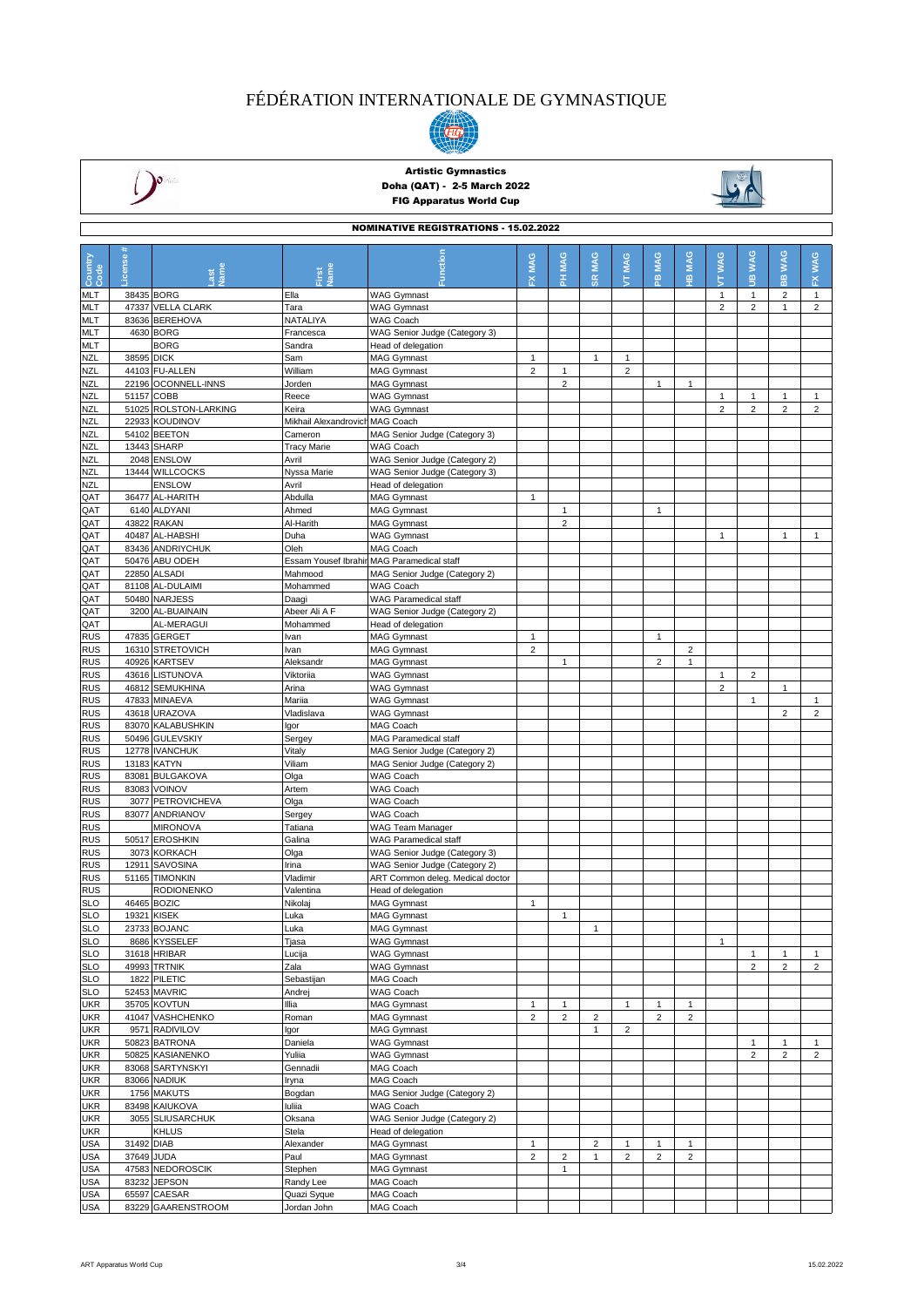



## Artistic Gymnastics Doha (QAT) - 2-5 March 2022 FIG Apparatus World Cup



|                          | <b>NOMINATIVE REGISTRATIONS - 15.02.2022</b> |                                       |                                 |                                                                             |                         |                                |                |                         |                         |                |                |                     |                                |                                |
|--------------------------|----------------------------------------------|---------------------------------------|---------------------------------|-----------------------------------------------------------------------------|-------------------------|--------------------------------|----------------|-------------------------|-------------------------|----------------|----------------|---------------------|--------------------------------|--------------------------------|
|                          |                                              |                                       |                                 |                                                                             |                         |                                |                |                         |                         |                |                |                     |                                |                                |
|                          |                                              |                                       |                                 |                                                                             | MAG                     | <b>MAG</b>                     | <b>MAG</b>     | <b>MAG</b>              | <b>MAG</b>              | <b>MAG</b>     | <b>WAG</b>     | <b>WAG</b>          | <b>WAG</b>                     | FX WAG                         |
| Country<br>Code          | <b>License</b>                               |                                       | Jame<br>First                   |                                                                             | ᆇ                       | 폾                              | <b>SR</b>      | $\overline{\mathbf{5}}$ | 은                       | 꽆              | É              | $\mathbf{g}$        | es.                            |                                |
| MLT                      | 38435 BORG                                   |                                       | Ella                            | <b>WAG Gymnast</b>                                                          |                         |                                |                |                         |                         |                | $\mathbf{1}$   | 1                   | $\overline{2}$                 | $\mathbf{1}$                   |
| <b>MLT</b>               |                                              | 47337 VELLA CLARK                     | Tara                            | <b>WAG Gymnast</b>                                                          |                         |                                |                |                         |                         |                | $\overline{2}$ | $\overline{2}$      | $\mathbf{1}$                   | $\overline{2}$                 |
| MLT                      |                                              | 83636 BEREHOVA                        | NATALIYA                        | WAG Coach                                                                   |                         |                                |                |                         |                         |                |                |                     |                                |                                |
| <b>MLT</b>               |                                              | 4630 BORG                             | Francesca                       | WAG Senior Judge (Category 3)                                               |                         |                                |                |                         |                         |                |                |                     |                                |                                |
| MLT                      |                                              | <b>BORG</b>                           | Sandra                          | Head of delegation                                                          |                         |                                |                |                         |                         |                |                |                     |                                |                                |
| <b>NZL</b>               | 38595 DICK                                   |                                       | Sam                             | <b>MAG Gymnast</b>                                                          | $\mathbf{1}$            |                                | $\mathbf{1}$   | $\mathbf{1}$            |                         |                |                |                     |                                |                                |
| <b>NZL</b><br><b>NZL</b> |                                              | 44103 FU-ALLEN<br>22196 OCONNELL-INNS | William<br>Jorden               | <b>MAG Gymnast</b><br><b>MAG Gymnast</b>                                    | $\overline{2}$          | $\mathbf{1}$<br>$\overline{2}$ |                | $\overline{2}$          | $\mathbf{1}$            | $\mathbf{1}$   |                |                     |                                |                                |
| <b>NZL</b>               | 51157 COBB                                   |                                       | Reece                           | <b>WAG Gymnast</b>                                                          |                         |                                |                |                         |                         |                | 1              | -1                  | 1                              | $\mathbf{1}$                   |
| <b>NZL</b>               |                                              | 51025 ROLSTON-LARKING                 | Keira                           | <b>WAG Gymnast</b>                                                          |                         |                                |                |                         |                         |                | $\overline{2}$ | $\overline{2}$      | $\overline{c}$                 | $\overline{2}$                 |
| <b>NZL</b>               |                                              | 22933 KOUDINOV                        | Mikhail Alexandrovich MAG Coach |                                                                             |                         |                                |                |                         |                         |                |                |                     |                                |                                |
| <b>NZL</b>               |                                              | 54102 BEETON                          | Cameron                         | MAG Senior Judge (Category 3)                                               |                         |                                |                |                         |                         |                |                |                     |                                |                                |
| <b>NZL</b>               |                                              | 13443 SHARP                           | Tracy Marie                     | WAG Coach                                                                   |                         |                                |                |                         |                         |                |                |                     |                                |                                |
| <b>NZL</b>               |                                              | 2048 ENSLOW                           | Avril                           | WAG Senior Judge (Category 2)                                               |                         |                                |                |                         |                         |                |                |                     |                                |                                |
| <b>NZL</b><br><b>NZL</b> |                                              | 13444 WILLCOCKS<br><b>ENSLOW</b>      | Nyssa Marie<br>Avril            | WAG Senior Judge (Category 3)<br>Head of delegation                         |                         |                                |                |                         |                         |                |                |                     |                                |                                |
| QAT                      |                                              | 36477 AL-HARITH                       | Abdulla                         | <b>MAG Gymnast</b>                                                          | $\mathbf{1}$            |                                |                |                         |                         |                |                |                     |                                |                                |
| QAT                      |                                              | 6140 ALDYANI                          | Ahmed                           | <b>MAG Gymnast</b>                                                          |                         | $\mathbf{1}$                   |                |                         | $\mathbf{1}$            |                |                |                     |                                |                                |
| QAT                      |                                              | 43822 RAKAN                           | Al-Harith                       | <b>MAG Gymnast</b>                                                          |                         | $\sqrt{2}$                     |                |                         |                         |                |                |                     |                                |                                |
| QAT                      |                                              | 40487 AL-HABSHI                       | Duha                            | <b>WAG Gymnast</b>                                                          |                         |                                |                |                         |                         |                | $\mathbf{1}$   |                     | $\mathbf{1}$                   | $\mathbf{1}$                   |
| QAT                      |                                              | 83436 ANDRIYCHUK                      | Oleh                            | MAG Coach                                                                   |                         |                                |                |                         |                         |                |                |                     |                                |                                |
| QAT<br>QAT               |                                              | 50476 ABU ODEH<br>22850 ALSADI        | Mahmood                         | Essam Yousef Ibrahin MAG Paramedical staff<br>MAG Senior Judge (Category 2) |                         |                                |                |                         |                         |                |                |                     |                                |                                |
| QAT                      |                                              | 81108 AL-DULAIMI                      | Mohammed                        | WAG Coach                                                                   |                         |                                |                |                         |                         |                |                |                     |                                |                                |
| QAT                      |                                              | 50480 NARJESS                         | Daagi                           | WAG Paramedical staff                                                       |                         |                                |                |                         |                         |                |                |                     |                                |                                |
| QAT                      |                                              | 3200 AL-BUAINAIN                      | Abeer Ali A F                   | WAG Senior Judge (Category 2)                                               |                         |                                |                |                         |                         |                |                |                     |                                |                                |
| QAT                      |                                              | AL-MERAGUI                            | Mohammed                        | Head of delegation                                                          |                         |                                |                |                         |                         |                |                |                     |                                |                                |
| <b>RUS</b>               |                                              | 47835 GERGET                          | Ivan                            | <b>MAG Gymnast</b>                                                          | $\mathbf{1}$            |                                |                |                         | 1                       |                |                |                     |                                |                                |
| <b>RUS</b>               |                                              | 16310 STRETOVICH                      | Ivan<br>Aleksandr               | <b>MAG Gymnast</b><br><b>MAG Gymnast</b>                                    | $\overline{2}$          |                                |                |                         | $\overline{2}$          | $\overline{2}$ |                |                     |                                |                                |
| <b>RUS</b><br><b>RUS</b> |                                              | 40926 KARTSEV<br>43616 LISTUNOVA      | Viktoriia                       | <b>WAG Gymnast</b>                                                          |                         | $\mathbf{1}$                   |                |                         |                         | 1              | $\mathbf{1}$   | $\overline{2}$      |                                |                                |
| <b>RUS</b>               |                                              | 46812 SEMUKHINA                       | Arina                           | <b>WAG Gymnast</b>                                                          |                         |                                |                |                         |                         |                | $\overline{2}$ |                     | $\mathbf{1}$                   |                                |
| <b>RUS</b>               |                                              | 47833 MINAEVA                         | Mariia                          | <b>WAG Gymnast</b>                                                          |                         |                                |                |                         |                         |                |                | $\mathbf{1}$        |                                | $\mathbf{1}$                   |
| <b>RUS</b>               |                                              | 43618 URAZOVA                         | Vladislava                      | <b>WAG Gymnast</b>                                                          |                         |                                |                |                         |                         |                |                |                     | $\overline{2}$                 | $\overline{2}$                 |
| <b>RUS</b>               |                                              | 83070 KALABUSHKIN                     | lgor                            | MAG Coach                                                                   |                         |                                |                |                         |                         |                |                |                     |                                |                                |
| <b>RUS</b>               |                                              | 50496 GULEVSKIY                       | Sergey                          | MAG Paramedical staff                                                       |                         |                                |                |                         |                         |                |                |                     |                                |                                |
| <b>RUS</b>               |                                              | 12778 IVANCHUK                        | Vitaly<br>Viliam                | MAG Senior Judge (Category 2)                                               |                         |                                |                |                         |                         |                |                |                     |                                |                                |
| <b>RUS</b><br><b>RUS</b> |                                              | 13183 KATYN<br>83081 BULGAKOVA        | Olga                            | MAG Senior Judge (Category 2)<br>WAG Coach                                  |                         |                                |                |                         |                         |                |                |                     |                                |                                |
| <b>RUS</b>               |                                              | 83083 VOINOV                          | Artem                           | WAG Coach                                                                   |                         |                                |                |                         |                         |                |                |                     |                                |                                |
| <b>RUS</b>               |                                              | 3077 PETROVICHEVA                     | Olga                            | WAG Coach                                                                   |                         |                                |                |                         |                         |                |                |                     |                                |                                |
| <b>RUS</b>               |                                              | 83077 ANDRIANOV                       | Sergey                          | WAG Coach                                                                   |                         |                                |                |                         |                         |                |                |                     |                                |                                |
| <b>RUS</b>               |                                              | <b>MIRONOVA</b>                       | Tatiana                         | WAG Team Manager                                                            |                         |                                |                |                         |                         |                |                |                     |                                |                                |
| <b>RUS</b>               |                                              | 50517 EROSHKIN                        | Galina                          | WAG Paramedical staff                                                       |                         |                                |                |                         |                         |                |                |                     |                                |                                |
| <b>RUS</b><br><b>RUS</b> |                                              | 3073 KORKACH<br>12911 SAVOSINA        | Olga<br>Irina                   | WAG Senior Judge (Category 3)<br>WAG Senior Judge (Category 2)              |                         |                                |                |                         |                         |                |                |                     |                                |                                |
| <b>RUS</b>               |                                              | 51165 TIMONKIN                        | Vladimir                        | ART Common deleg. Medical doctor                                            |                         |                                |                |                         |                         |                |                |                     |                                |                                |
| <b>RUS</b>               |                                              | <b>RODIONENKO</b>                     | Valentina                       | Head of delegation                                                          |                         |                                |                |                         |                         |                |                |                     |                                |                                |
| <b>SLO</b>               |                                              | 46465 BOZIC                           | Nikolaj                         | <b>MAG Gymnast</b>                                                          | $\mathbf{1}$            |                                |                |                         |                         |                |                |                     |                                |                                |
| <b>SLO</b>               |                                              | 19321 KISEK                           | Luka                            | <b>MAG Gymnast</b>                                                          |                         | $\overline{4}$                 |                |                         |                         |                |                |                     |                                |                                |
| <b>SLO</b>               |                                              | 23733 BOJANC                          | Luka                            | <b>MAG Gymnast</b>                                                          |                         |                                | $\mathbf{1}$   |                         |                         |                |                |                     |                                |                                |
| <b>SLO</b>               |                                              | 8686 KYSSELEF                         | Tjasa                           | <b>WAG Gymnast</b>                                                          |                         |                                |                |                         |                         |                | $\mathbf{1}$   |                     |                                |                                |
| <b>SLO</b><br><b>SLO</b> |                                              | 31618 HRIBAR<br>49993 TRTNIK          | Lucija<br>Zala                  | <b>WAG Gymnast</b><br><b>WAG Gymnast</b>                                    |                         |                                |                |                         |                         |                |                | 1<br>$\overline{c}$ | $\mathbf{1}$<br>$\overline{2}$ | $\mathbf{1}$<br>$\overline{2}$ |
| <b>SLO</b>               |                                              | 1822 PILETIC                          | Sebastijan                      | MAG Coach                                                                   |                         |                                |                |                         |                         |                |                |                     |                                |                                |
| <b>SLO</b>               |                                              | 52453 MAVRIC                          | Andrej                          | WAG Coach                                                                   |                         |                                |                |                         |                         |                |                |                     |                                |                                |
| <b>UKR</b>               |                                              | 35705 KOVTUN                          | Illia                           | <b>MAG Gymnast</b>                                                          | $\mathbf{1}$            | $\mathbf{1}$                   |                | $\mathbf{1}$            | 1                       | 1              |                |                     |                                |                                |
| <b>UKR</b>               |                                              | 41047 VASHCHENKO                      | Roman                           | MAG Gymnast                                                                 | $\overline{2}$          | $\overline{2}$                 | $\overline{2}$ |                         | $\overline{\mathbf{c}}$ | $\overline{c}$ |                |                     |                                |                                |
| <b>UKR</b>               |                                              | 9571 RADIVILOV                        | Igor                            | <b>MAG Gymnast</b>                                                          |                         |                                | $\mathbf{1}$   | $\overline{2}$          |                         |                |                |                     |                                |                                |
| <b>UKR</b><br><b>UKR</b> |                                              | 50823 BATRONA<br>50825 KASIANENKO     | Daniela<br>Yuliia               | <b>WAG Gymnast</b><br><b>WAG Gymnast</b>                                    |                         |                                |                |                         |                         |                |                | 1<br>$\overline{c}$ | 1<br>$\overline{c}$            | $\mathbf{1}$<br>$\overline{2}$ |
| <b>UKR</b>               |                                              | 83068 SARTYNSKYI                      | Gennadii                        | MAG Coach                                                                   |                         |                                |                |                         |                         |                |                |                     |                                |                                |
| <b>UKR</b>               |                                              | 83066 NADIUK                          | Iryna                           | MAG Coach                                                                   |                         |                                |                |                         |                         |                |                |                     |                                |                                |
| <b>UKR</b>               |                                              | 1756 MAKUTS                           | Bogdan                          | MAG Senior Judge (Category 2)                                               |                         |                                |                |                         |                         |                |                |                     |                                |                                |
| UKR                      |                                              | 83498 KAIUKOVA                        | luliia                          | WAG Coach                                                                   |                         |                                |                |                         |                         |                |                |                     |                                |                                |
| UKR                      |                                              | 3055 SLIUSARCHUK                      | Oksana                          | WAG Senior Judge (Category 2)                                               |                         |                                |                |                         |                         |                |                |                     |                                |                                |
| <b>UKR</b>               |                                              | <b>KHLUS</b>                          | Stela                           | Head of delegation                                                          |                         |                                |                |                         |                         |                |                |                     |                                |                                |
| <b>USA</b>               | 31492 DIAB                                   |                                       | Alexander<br>Paul               | <b>MAG Gymnast</b>                                                          | $\mathbf{1}$            |                                | $\overline{2}$ | $\mathbf{1}$            | 1                       | 1              |                |                     |                                |                                |
| USA<br><b>USA</b>        | 37649 JUDA                                   | 47583 NEDOROSCIK                      | Stephen                         | <b>MAG Gymnast</b><br><b>MAG Gymnast</b>                                    | $\overline{\mathbf{c}}$ | $\overline{c}$<br>$\mathbf{1}$ | $\mathbf{1}$   | $\overline{c}$          | 2                       | $\overline{2}$ |                |                     |                                |                                |
| <b>USA</b>               |                                              | 83232 JEPSON                          | Randy Lee                       | MAG Coach                                                                   |                         |                                |                |                         |                         |                |                |                     |                                |                                |
| <b>USA</b>               |                                              | 65597 CAESAR                          | Quazi Syque                     | MAG Coach                                                                   |                         |                                |                |                         |                         |                |                |                     |                                |                                |
| <b>USA</b>               |                                              | 83229 GAARENSTROOM                    | Jordan John                     | MAG Coach                                                                   |                         |                                |                |                         |                         |                |                |                     |                                |                                |